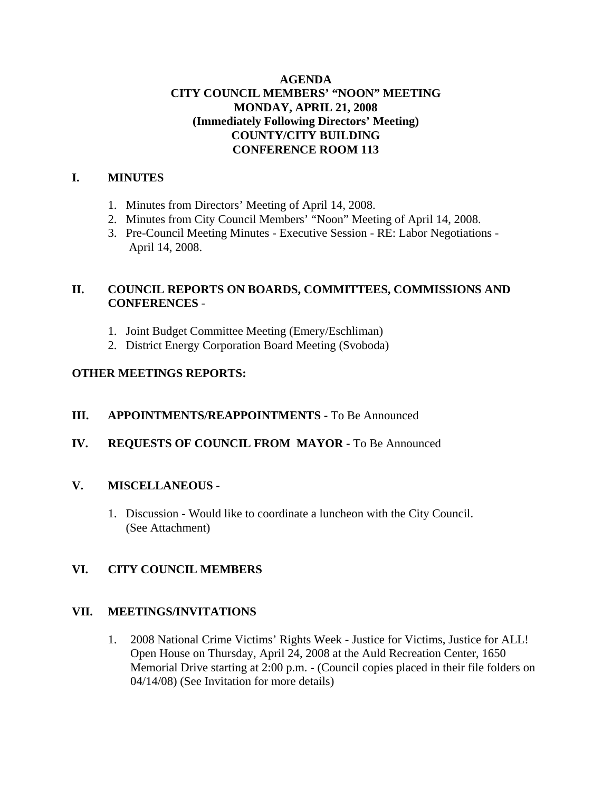# **AGENDA CITY COUNCIL MEMBERS' "NOON" MEETING MONDAY, APRIL 21, 2008 (Immediately Following Directors' Meeting) COUNTY/CITY BUILDING CONFERENCE ROOM 113**

#### **I. MINUTES**

- 1. Minutes from Directors' Meeting of April 14, 2008.
- 2. Minutes from City Council Members' "Noon" Meeting of April 14, 2008.
- 3. Pre-Council Meeting Minutes Executive Session RE: Labor Negotiations April 14, 2008.

# **II. COUNCIL REPORTS ON BOARDS, COMMITTEES, COMMISSIONS AND CONFERENCES** -

- 1. Joint Budget Committee Meeting (Emery/Eschliman)
- 2. District Energy Corporation Board Meeting (Svoboda)

# **OTHER MEETINGS REPORTS:**

# **III.** APPOINTMENTS/REAPPOINTMENTS - To Be Announced

# **IV. REQUESTS OF COUNCIL FROM MAYOR -** To Be Announced

# **V. MISCELLANEOUS -**

1. Discussion - Would like to coordinate a luncheon with the City Council. (See Attachment)

# **VI. CITY COUNCIL MEMBERS**

#### **VII. MEETINGS/INVITATIONS**

1. 2008 National Crime Victims' Rights Week - Justice for Victims, Justice for ALL! Open House on Thursday, April 24, 2008 at the Auld Recreation Center, 1650 Memorial Drive starting at 2:00 p.m. - (Council copies placed in their file folders on 04/14/08) (See Invitation for more details)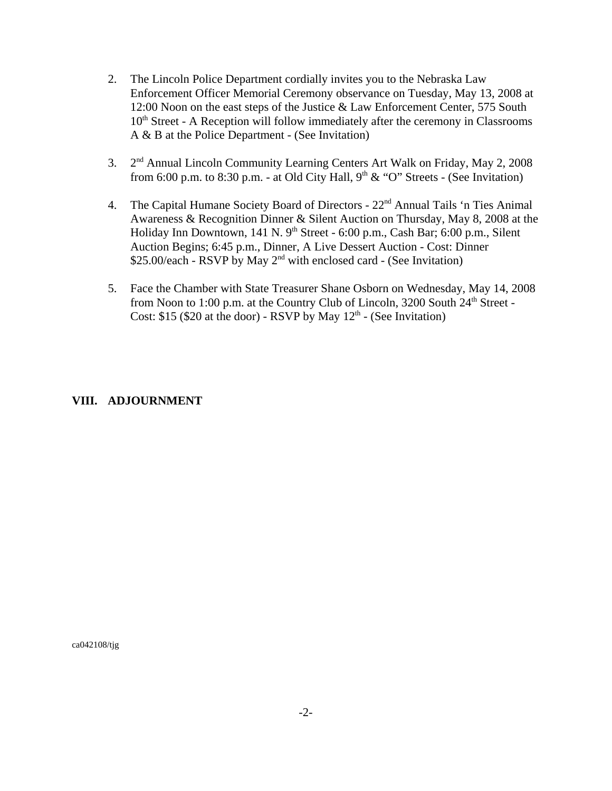- 2. The Lincoln Police Department cordially invites you to the Nebraska Law Enforcement Officer Memorial Ceremony observance on Tuesday, May 13, 2008 at 12:00 Noon on the east steps of the Justice & Law Enforcement Center, 575 South  $10<sup>th</sup> Street - A Reception will follow immediately after the ceremony in Classrooms$ A & B at the Police Department - (See Invitation)
- 3. 2<sup>nd</sup> Annual Lincoln Community Learning Centers Art Walk on Friday, May 2, 2008 from 6:00 p.m. to 8:30 p.m. - at Old City Hall,  $9<sup>th</sup> \& ^\circ$  "O" Streets - (See Invitation)
- 4. The Capital Humane Society Board of Directors 22<sup>nd</sup> Annual Tails 'n Ties Animal Awareness & Recognition Dinner & Silent Auction on Thursday, May 8, 2008 at the Holiday Inn Downtown, 141 N. 9<sup>th</sup> Street - 6:00 p.m., Cash Bar; 6:00 p.m., Silent Auction Begins; 6:45 p.m., Dinner, A Live Dessert Auction - Cost: Dinner \$25.00/each - RSVP by May  $2<sup>nd</sup>$  with enclosed card - (See Invitation)
- 5. Face the Chamber with State Treasurer Shane Osborn on Wednesday, May 14, 2008 from Noon to 1:00 p.m. at the Country Club of Lincoln,  $3200$  South  $24<sup>th</sup>$  Street -Cost: \$15 (\$20 at the door) - RSVP by May  $12<sup>th</sup>$  - (See Invitation)

#### **VIII. ADJOURNMENT**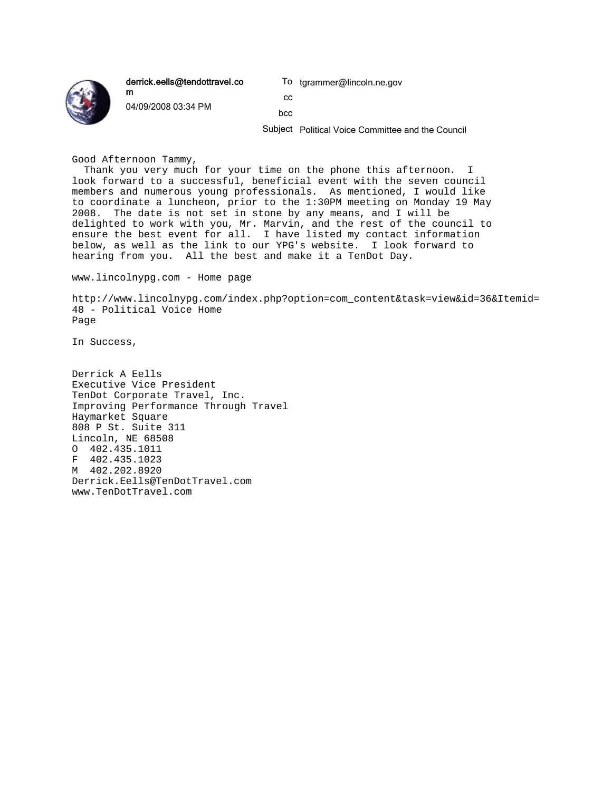

derrick.eells@tendottravel.co m

04/09/2008 03:34 PM

To tgrammer@lincoln.ne.gov

cc bcc

Subject Political Voice Committee and the Council

Good Afternoon Tammy,

Thank you very much for your time on the phone this afternoon. I look forward to a successful, beneficial event with the seven council members and numerous young professionals. As mentioned, I would like to coordinate a luncheon, prior to the 1:30PM meeting on Monday 19 May 2008. The date is not set in stone by any means, and I will be delighted to work with you, Mr. Marvin, and the rest of the council to ensure the best event for all. I have listed my contact information below, as well as the link to our YPG's website. I look forward to hearing from you. All the best and make it a TenDot Day.

www.lincolnypg.com - Home page

http://www.lincolnypg.com/index.php?option=com\_content&task=view&id=36&Itemid= 48 - Political Voice Home Page

In Success,

Derrick A Eells Executive Vice President TenDot Corporate Travel, Inc. Improving Performance Through Travel Haymarket Square 808 P St. Suite 311 Lincoln, NE 68508 O 402.435.1011 F 402.435.1023 M 402.202.8920 Derrick.Eells@TenDotTravel.com www.TenDotTravel.com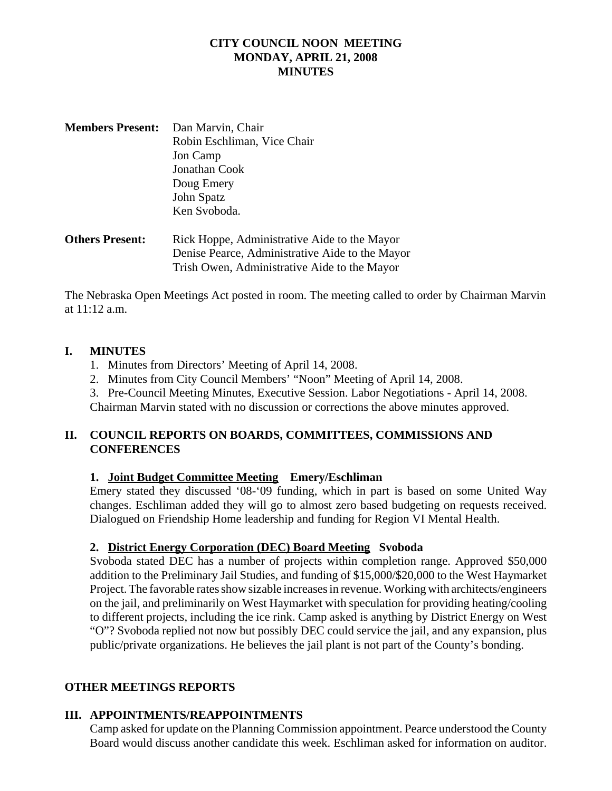# **CITY COUNCIL NOON MEETING MONDAY, APRIL 21, 2008 MINUTES**

| <b>Members Present:</b> | Dan Marvin, Chair           |
|-------------------------|-----------------------------|
|                         | Robin Eschliman, Vice Chair |
|                         | Jon Camp                    |
|                         | Jonathan Cook               |
|                         | Doug Emery                  |
|                         | John Spatz                  |
|                         | Ken Svoboda.                |
|                         |                             |

**Others Present:** Rick Hoppe, Administrative Aide to the Mayor Denise Pearce, Administrative Aide to the Mayor Trish Owen, Administrative Aide to the Mayor

The Nebraska Open Meetings Act posted in room. The meeting called to order by Chairman Marvin at 11:12 a.m.

# **I. MINUTES**

- 1. Minutes from Directors' Meeting of April 14, 2008.
- 2. Minutes from City Council Members' "Noon" Meeting of April 14, 2008.

3. Pre-Council Meeting Minutes, Executive Session. Labor Negotiations - April 14, 2008. Chairman Marvin stated with no discussion or corrections the above minutes approved.

# **II. COUNCIL REPORTS ON BOARDS, COMMITTEES, COMMISSIONS AND CONFERENCES**

# **1. Joint Budget Committee Meeting Emery/Eschliman**

Emery stated they discussed '08-'09 funding, which in part is based on some United Way changes. Eschliman added they will go to almost zero based budgeting on requests received. Dialogued on Friendship Home leadership and funding for Region VI Mental Health.

# **2. District Energy Corporation (DEC) Board Meeting Svoboda**

Svoboda stated DEC has a number of projects within completion range. Approved \$50,000 addition to the Preliminary Jail Studies, and funding of \$15,000/\$20,000 to the West Haymarket Project. The favorable rates show sizable increases in revenue. Working with architects/engineers on the jail, and preliminarily on West Haymarket with speculation for providing heating/cooling to different projects, including the ice rink. Camp asked is anything by District Energy on West "O"? Svoboda replied not now but possibly DEC could service the jail, and any expansion, plus public/private organizations. He believes the jail plant is not part of the County's bonding.

# **OTHER MEETINGS REPORTS**

# **III. APPOINTMENTS/REAPPOINTMENTS**

Camp asked for update on the Planning Commission appointment. Pearce understood the County Board would discuss another candidate this week. Eschliman asked for information on auditor.